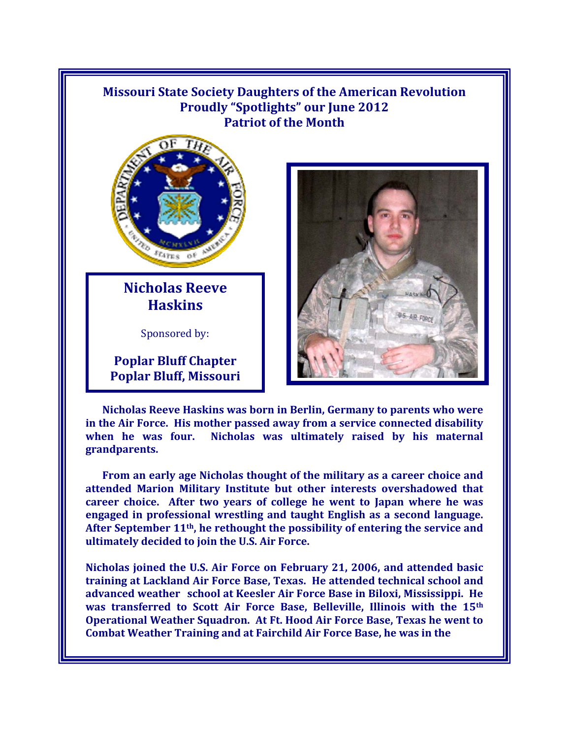## **Missouri State Society Daughters of the American Revolution Proudly "Spotlights" our June 2012 Patriot of the Month**



**Nicholas Reeve Haskins** 

Sponsored by:

**Poplar Bluff Chapter Poplar Bluff, Missouri** 



**Nicholas Reeve Haskins was born in Berlin, Germany to parents who were in the Air Force. His mother passed away from a service connected disability when he was four. Nicholas was ultimately raised by his maternal grandparents.** 

**From an early age Nicholas thought of the military as a career choice and attended Marion Military Institute but other interests overshadowed that career choice. After two years of college he went to Japan where he was engaged in professional wrestling and taught English as a second language. After September 11th, he rethought the possibility of entering the service and ultimately decided to join the U.S. Air Force.** 

**Nicholas joined the U.S. Air Force on February 21, 2006, and attended basic training at Lackland Air Force Base, Texas. He attended technical school and advanced weather school at Keesler Air Force Base in Biloxi, Mississippi. He was transferred to Scott Air Force Base, Belleville, Illinois with the 15th Operational Weather Squadron. At Ft. Hood Air Force Base, Texas he went to Combat Weather Training and at Fairchild Air Force Base, he was in the**